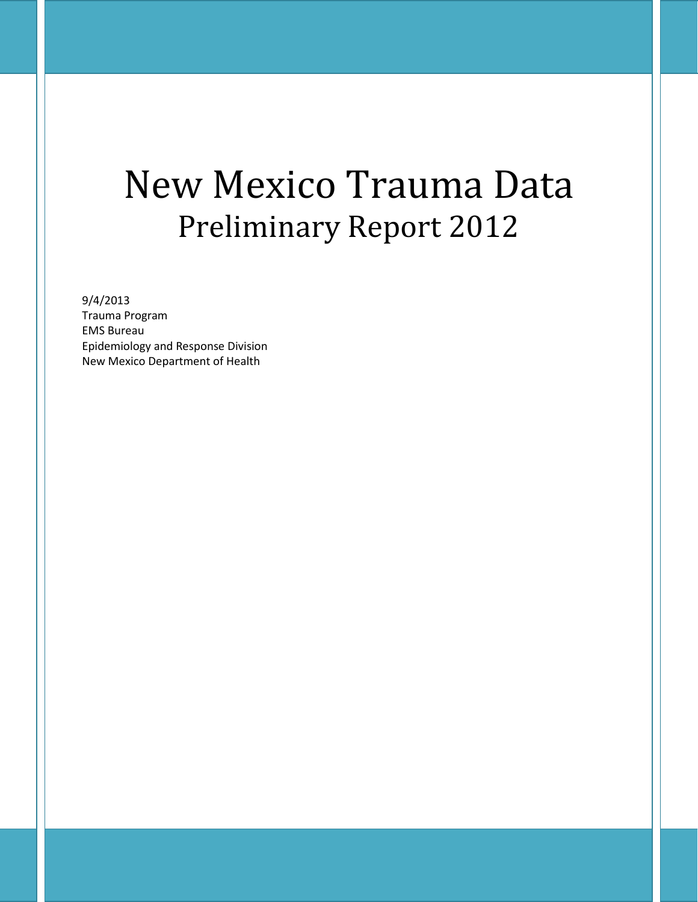# New Mexico Trauma Data Preliminary Report 2012

#### 9/4/2013

Trauma Program EMS Bureau Epidemiology and Response Division New Mexico Department of Health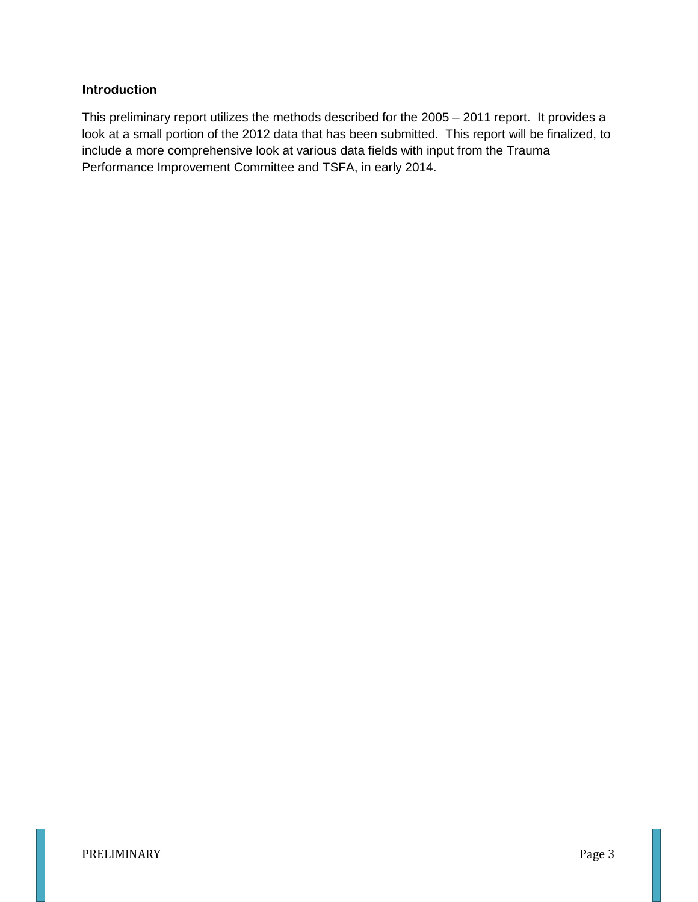#### **Introduction**

This preliminary report utilizes the methods described for the 2005 – 2011 report. It provides a look at a small portion of the 2012 data that has been submitted. This report will be finalized, to include a more comprehensive look at various data fields with input from the Trauma Performance Improvement Committee and TSFA, in early 2014.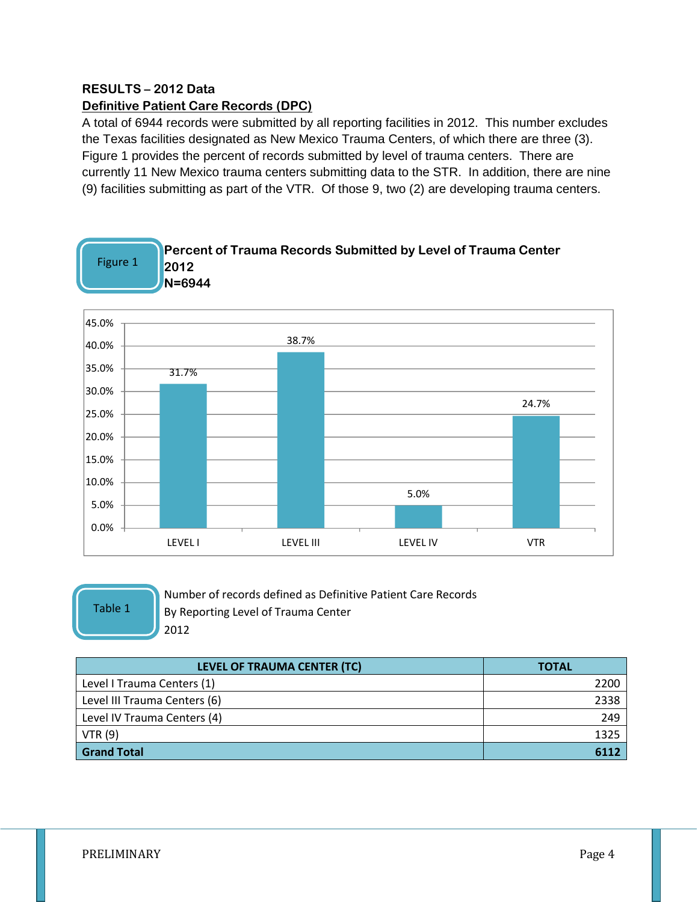#### **RESULTS – 2012 Data Definitive Patient Care Records (DPC)**

A total of 6944 records were submitted by all reporting facilities in 2012. This number excludes the Texas facilities designated as New Mexico Trauma Centers, of which there are three (3). Figure 1 provides the percent of records submitted by level of trauma centers. There are currently 11 New Mexico trauma centers submitting data to the STR. In addition, there are nine (9) facilities submitting as part of the VTR. Of those 9, two (2) are developing trauma centers.



Table 1

Number of records defined as Definitive Patient Care Records By Reporting Level of Trauma Center 2012

| LEVEL OF TRAUMA CENTER (TC)  | <b>TOTAL</b> |
|------------------------------|--------------|
| Level I Trauma Centers (1)   | 2200         |
| Level III Trauma Centers (6) | 2338         |
| Level IV Trauma Centers (4)  | 249          |
| VTR(9)                       | 1325         |
| <b>Grand Total</b>           | 6112         |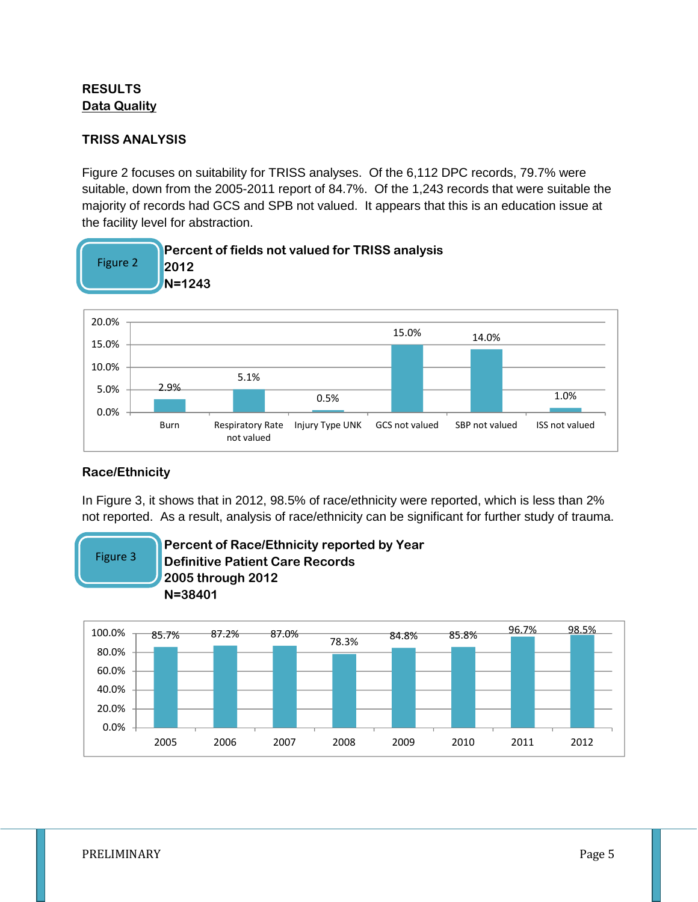### **RESULTS Data Quality**

#### **TRISS ANALYSIS**

Figure 2 focuses on suitability for TRISS analyses. Of the 6,112 DPC records, 79.7% were suitable, down from the 2005-2011 report of 84.7%. Of the 1,243 records that were suitable the majority of records had GCS and SPB not valued. It appears that this is an education issue at the facility level for abstraction.



#### **Race/Ethnicity**

In Figure 3, it shows that in 2012, 98.5% of race/ethnicity were reported, which is less than 2% not reported. As a result, analysis of race/ethnicity can be significant for further study of trauma.



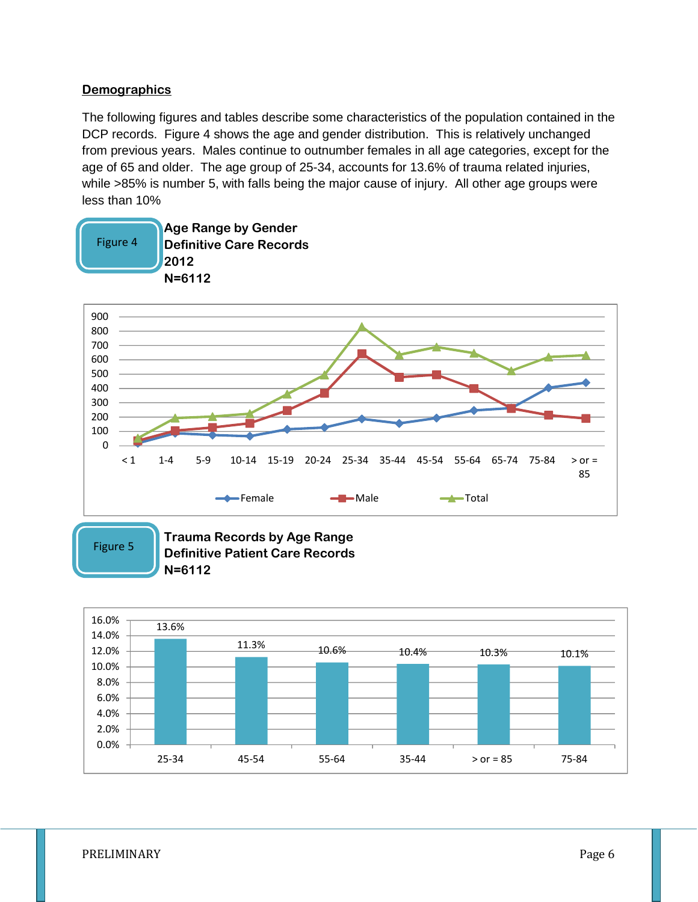#### **Demographics**

The following figures and tables describe some characteristics of the population contained in the DCP records. Figure 4 shows the age and gender distribution. This is relatively unchanged from previous years. Males continue to outnumber females in all age categories, except for the age of 65 and older. The age group of 25-34, accounts for 13.6% of trauma related injuries, while >85% is number 5, with falls being the major cause of injury. All other age groups were less than 10%



Figure 5

**Trauma Records by Age Range Definitive Patient Care Records N=6112**

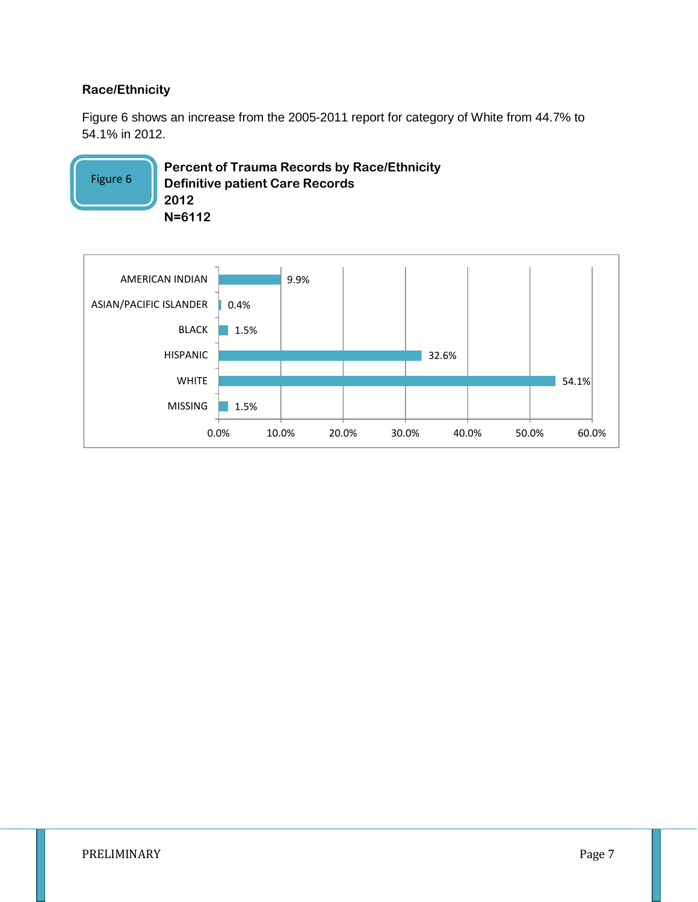#### **Race/Ethnicity**

Figure 6 shows an increase from the 2005-2011 report for category of White from 44.7% to 54.1% in 2012.

**Percent of Trauma Records by Race/Ethnicity Definitive patient Care Records 2012 N=6112** Figure 6

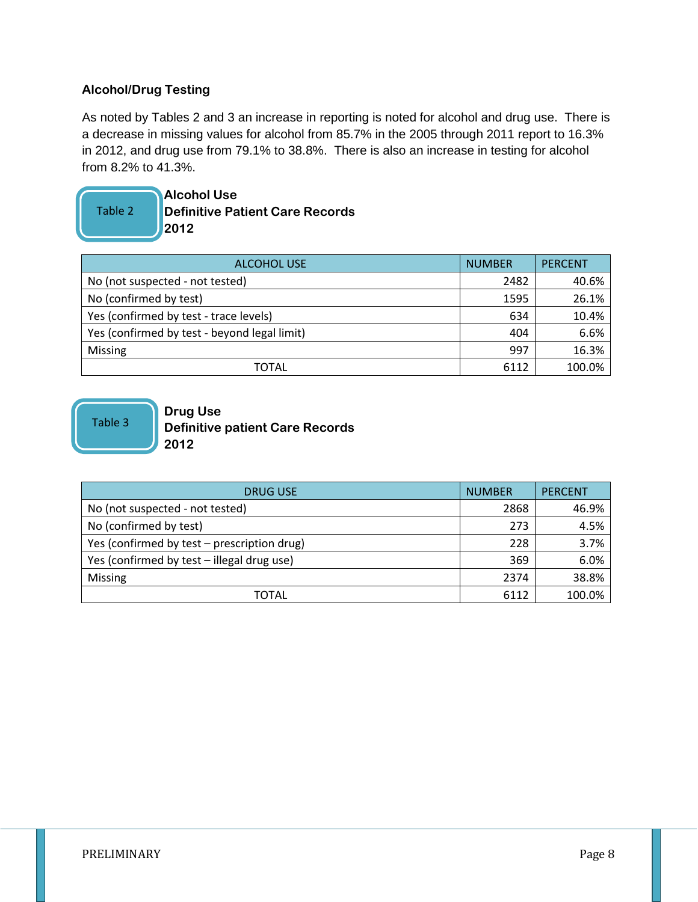### **Alcohol/Drug Testing**

As noted by Tables 2 and 3 an increase in reporting is noted for alcohol and drug use. There is a decrease in missing values for alcohol from 85.7% in the 2005 through 2011 report to 16.3% in 2012, and drug use from 79.1% to 38.8%. There is also an increase in testing for alcohol from 8.2% to 41.3%.

## Table 2

**Alcohol Use Definitive Patient Care Records 2012**

| <b>ALCOHOL USE</b>                           | <b>NUMBER</b> | <b>PERCENT</b> |
|----------------------------------------------|---------------|----------------|
| No (not suspected - not tested)              | 2482          | 40.6%          |
| No (confirmed by test)                       | 1595          | 26.1%          |
| Yes (confirmed by test - trace levels)       | 634           | 10.4%          |
| Yes (confirmed by test - beyond legal limit) | 404           | 6.6%           |
| <b>Missing</b>                               | 997           | 16.3%          |
| TOTAL                                        | 6112          | 100.0%         |

Table 3

#### **Drug Use Definitive patient Care Records 2012**

| <b>DRUG USE</b>                             | <b>NUMBER</b> | <b>PERCENT</b> |
|---------------------------------------------|---------------|----------------|
| No (not suspected - not tested)             | 2868          | 46.9%          |
| No (confirmed by test)                      | 273           | 4.5%           |
| Yes (confirmed by test – prescription drug) | 228           | 3.7%           |
| Yes (confirmed by test - illegal drug use)  | 369           | 6.0%           |
| Missing                                     | 2374          | 38.8%          |
| TOTAL                                       | 6112          | 100.0%         |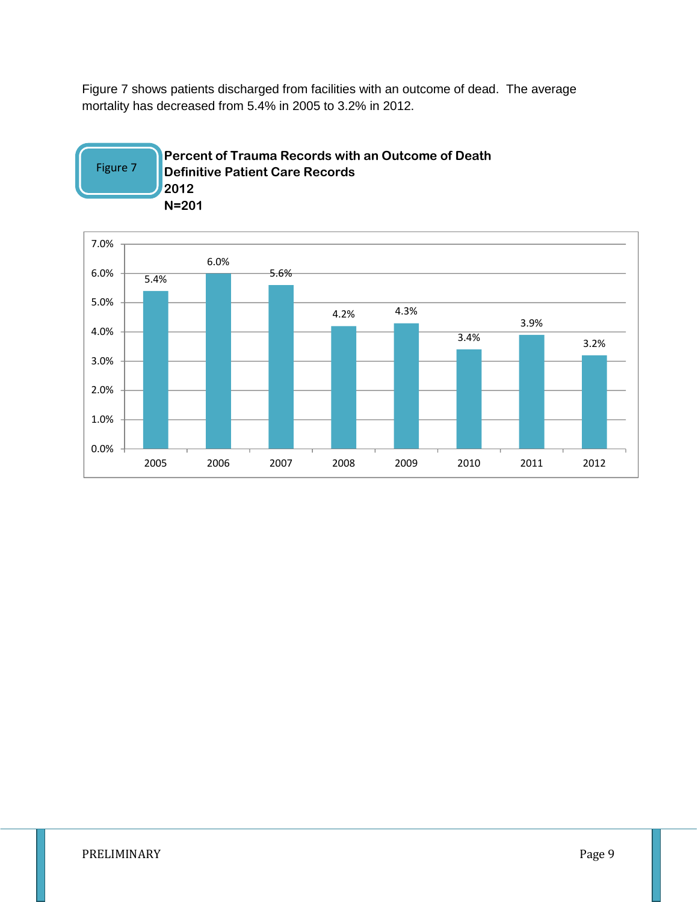Figure 7 shows patients discharged from facilities with an outcome of dead. The average mortality has decreased from 5.4% in 2005 to 3.2% in 2012.



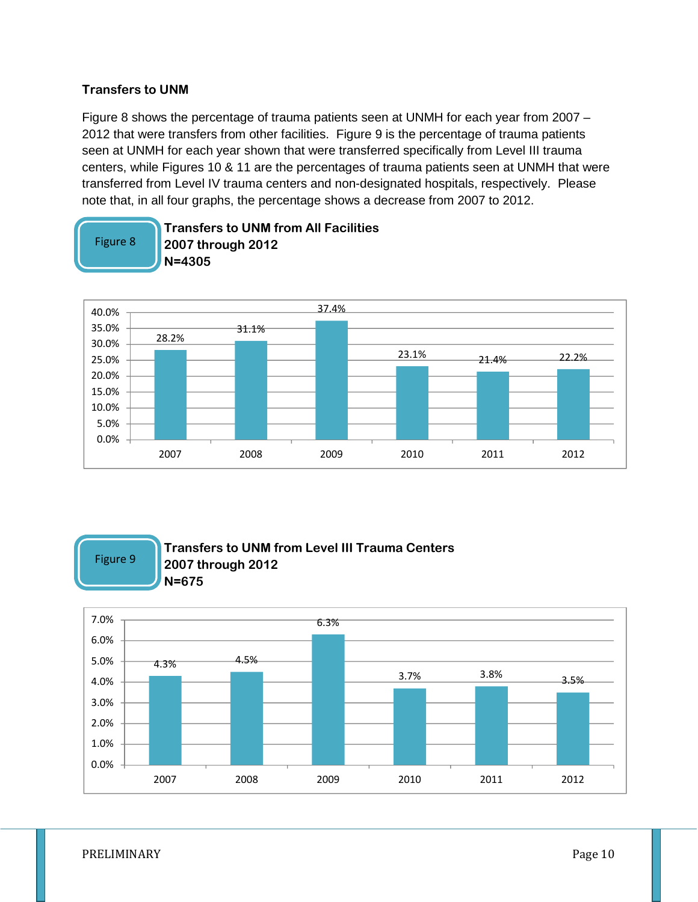#### **Transfers to UNM**

Figure 8 shows the percentage of trauma patients seen at UNMH for each year from 2007 – 2012 that were transfers from other facilities. Figure 9 is the percentage of trauma patients seen at UNMH for each year shown that were transferred specifically from Level III trauma centers, while Figures 10 & 11 are the percentages of trauma patients seen at UNMH that were transferred from Level IV trauma centers and non-designated hospitals, respectively. Please note that, in all four graphs, the percentage shows a decrease from 2007 to 2012.

**Transfers to UNM from All Facilities**



Figure 9

#### **Transfers to UNM from Level III Trauma Centers 2007 through 2012 N=675**